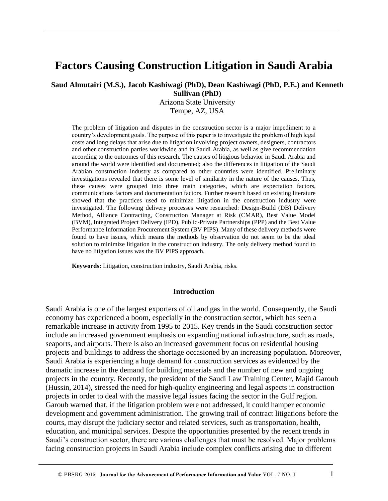# **Factors Causing Construction Litigation in Saudi Arabia**

**Saud Almutairi (M.S.), Jacob Kashiwagi (PhD), Dean Kashiwagi (PhD, P.E.) and Kenneth** 

**Sullivan (PhD)** 

Arizona State University Tempe, AZ, USA

The problem of litigation and disputes in the construction sector is a major impediment to a country's development goals. The purpose of this paper is to investigate the problem of high legal costs and long delays that arise due to litigation involving project owners, designers, contractors and other construction parties worldwide and in Saudi Arabia, as well as give recommendation according to the outcomes of this research. The causes of litigious behavior in Saudi Arabia and around the world were identified and documented; also the differences in litigation of the Saudi Arabian construction industry as compared to other countries were identified. Preliminary investigations revealed that there is some level of similarity in the nature of the causes. Thus, these causes were grouped into three main categories, which are expectation factors, communications factors and documentation factors. Further research based on existing literature showed that the practices used to minimize litigation in the construction industry were investigated. The following delivery processes were researched: Design-Build (DB) Delivery Method, Alliance Contracting, Construction Manager at Risk (CMAR), Best Value Model (BVM), Integrated Project Delivery (IPD), Public-Private Partnerships (PPP) and the Best Value Performance Information Procurement System (BV PIPS). Many of these delivery methods were found to have issues, which means the methods by observation do not seem to be the ideal solution to minimize litigation in the construction industry. The only delivery method found to have no litigation issues was the BV PIPS approach.

**Keywords:** Litigation, construction industry, Saudi Arabia, risks.

#### **Introduction**

Saudi Arabia is one of the largest exporters of oil and gas in the world. Consequently, the Saudi economy has experienced a boom, especially in the construction sector, which has seen a remarkable increase in activity from 1995 to 2015. Key trends in the Saudi construction sector include an increased government emphasis on expanding national infrastructure, such as roads, seaports, and airports. There is also an increased government focus on residential housing projects and buildings to address the shortage occasioned by an increasing population. Moreover, Saudi Arabia is experiencing a huge demand for construction services as evidenced by the dramatic increase in the demand for building materials and the number of new and ongoing projects in the country. Recently, the president of the Saudi Law Training Center, Majid Garoub (Hussin, 2014), stressed the need for high-quality engineering and legal aspects in construction projects in order to deal with the massive legal issues facing the sector in the Gulf region. Garoub warned that, if the litigation problem were not addressed, it could hamper economic development and government administration. The growing trail of contract litigations before the courts, may disrupt the judiciary sector and related services, such as transportation, health, education, and municipal services. Despite the opportunities presented by the recent trends in Saudi's construction sector, there are various challenges that must be resolved. Major problems facing construction projects in Saudi Arabia include complex conflicts arising due to different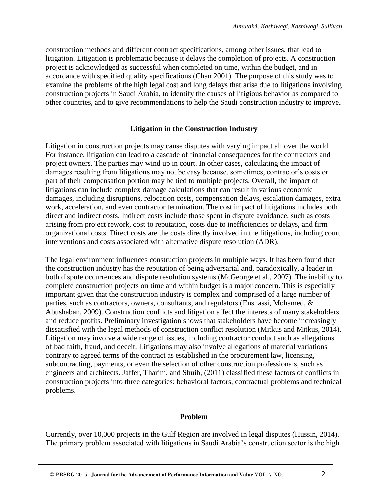construction methods and different contract specifications, among other issues, that lead to litigation. Litigation is problematic because it delays the completion of projects. A construction project is acknowledged as successful when completed on time, within the budget, and in accordance with specified quality specifications (Chan 2001). The purpose of this study was to examine the problems of the high legal cost and long delays that arise due to litigations involving construction projects in Saudi Arabia, to identify the causes of litigious behavior as compared to other countries, and to give recommendations to help the Saudi construction industry to improve.

#### **Litigation in the Construction Industry**

Litigation in construction projects may cause disputes with varying impact all over the world. For instance, litigation can lead to a cascade of financial consequences for the contractors and project owners. The parties may wind up in court. In other cases, calculating the impact of damages resulting from litigations may not be easy because, sometimes, contractor's costs or part of their compensation portion may be tied to multiple projects. Overall, the impact of litigations can include complex damage calculations that can result in various economic damages, including disruptions, relocation costs, compensation delays, escalation damages, extra work, acceleration, and even contractor termination. The cost impact of litigations includes both direct and indirect costs. Indirect costs include those spent in dispute avoidance, such as costs arising from project rework, cost to reputation, costs due to inefficiencies or delays, and firm organizational costs. Direct costs are the costs directly involved in the litigations, including court interventions and costs associated with alternative dispute resolution (ADR).

The legal environment influences construction projects in multiple ways. It has been found that the construction industry has the reputation of being adversarial and, paradoxically, a leader in both dispute occurrences and dispute resolution systems (McGeorge et al., 2007). The inability to complete construction projects on time and within budget is a major concern. This is especially important given that the construction industry is complex and comprised of a large number of parties, such as contractors, owners, consultants, and regulators (Enshassi, Mohamed, & Abushaban, 2009). Construction conflicts and litigation affect the interests of many stakeholders and reduce profits. Preliminary investigation shows that stakeholders have become increasingly dissatisfied with the legal methods of construction conflict resolution (Mitkus and Mitkus, 2014). Litigation may involve a wide range of issues, including contractor conduct such as allegations of bad faith, fraud, and deceit. Litigations may also involve allegations of material variations contrary to agreed terms of the contract as established in the procurement law, licensing, subcontracting, payments, or even the selection of other construction professionals, such as engineers and architects. Jaffer, Tharim, and Shuib, (2011) classified these factors of conflicts in construction projects into three categories: behavioral factors, contractual problems and technical problems.

#### **Problem**

Currently, over 10,000 projects in the Gulf Region are involved in legal disputes (Hussin, 2014). The primary problem associated with litigations in Saudi Arabia's construction sector is the high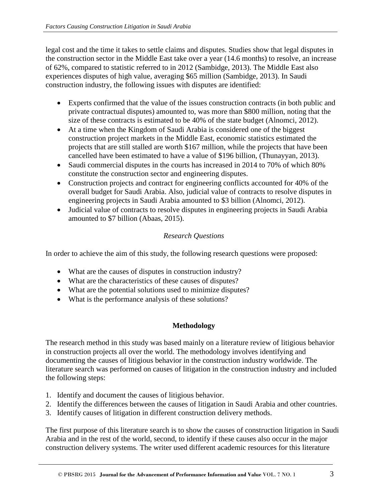legal cost and the time it takes to settle claims and disputes. Studies show that legal disputes in the construction sector in the Middle East take over a year (14.6 months) to resolve, an increase of 62%, compared to statistic referred to in 2012 (Sambidge, 2013). The Middle East also experiences disputes of high value, averaging \$65 million (Sambidge, 2013). In Saudi construction industry, the following issues with disputes are identified:

- Experts confirmed that the value of the issues construction contracts (in both public and private contractual disputes) amounted to, was more than \$800 million, noting that the size of these contracts is estimated to be 40% of the state budget (Alnomci, 2012).
- At a time when the Kingdom of Saudi Arabia is considered one of the biggest construction project markets in the Middle East, economic statistics estimated the projects that are still stalled are worth \$167 million, while the projects that have been cancelled have been estimated to have a value of \$196 billion, (Thunayyan, 2013).
- Saudi commercial disputes in the courts has increased in 2014 to 70% of which 80% constitute the construction sector and engineering disputes.
- Construction projects and contract for engineering conflicts accounted for 40% of the overall budget for Saudi Arabia. Also, judicial value of contracts to resolve disputes in engineering projects in Saudi Arabia amounted to \$3 billion (Alnomci, 2012).
- Judicial value of contracts to resolve disputes in engineering projects in Saudi Arabia amounted to \$7 billion (Abaas, 2015).

# *Research Questions*

In order to achieve the aim of this study, the following research questions were proposed:

- What are the causes of disputes in construction industry?
- What are the characteristics of these causes of disputes?
- What are the potential solutions used to minimize disputes?
- What is the performance analysis of these solutions?

# **Methodology**

The research method in this study was based mainly on a literature review of litigious behavior in construction projects all over the world. The methodology involves identifying and documenting the causes of litigious behavior in the construction industry worldwide. The literature search was performed on causes of litigation in the construction industry and included the following steps:

- 1. Identify and document the causes of litigious behavior.
- 2. Identify the differences between the causes of litigation in Saudi Arabia and other countries.
- 3. Identify causes of litigation in different construction delivery methods.

The first purpose of this literature search is to show the causes of construction litigation in Saudi Arabia and in the rest of the world, second, to identify if these causes also occur in the major construction delivery systems. The writer used different academic resources for this literature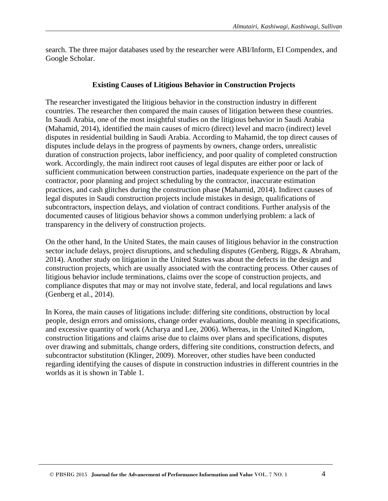search. The three major databases used by the researcher were ABI/Inform, EI Compendex, and Google Scholar.

#### **Existing Causes of Litigious Behavior in Construction Projects**

The researcher investigated the litigious behavior in the construction industry in different countries. The researcher then compared the main causes of litigation between these countries. In Saudi Arabia, one of the most insightful studies on the litigious behavior in Saudi Arabia (Mahamid, 2014), identified the main causes of micro (direct) level and macro (indirect) level disputes in residential building in Saudi Arabia. According to Mahamid, the top direct causes of disputes include delays in the progress of payments by owners, change orders, unrealistic duration of construction projects, labor inefficiency, and poor quality of completed construction work. Accordingly, the main indirect root causes of legal disputes are either poor or lack of sufficient communication between construction parties, inadequate experience on the part of the contractor, poor planning and project scheduling by the contractor, inaccurate estimation practices, and cash glitches during the construction phase (Mahamid, 2014). Indirect causes of legal disputes in Saudi construction projects include mistakes in design, qualifications of subcontractors, inspection delays, and violation of contract conditions. Further analysis of the documented causes of litigious behavior shows a common underlying problem: a lack of transparency in the delivery of construction projects.

On the other hand, In the United States, the main causes of litigious behavior in the construction sector include delays, project disruptions, and scheduling disputes (Genberg, Riggs, & Abraham, 2014). Another study on litigation in the United States was about the defects in the design and construction projects, which are usually associated with the contracting process. Other causes of litigious behavior include terminations, claims over the scope of construction projects, and compliance disputes that may or may not involve state, federal, and local regulations and laws (Genberg et al., 2014).

In Korea, the main causes of litigations include: differing site conditions, obstruction by local people, design errors and omissions, change order evaluations, double meaning in specifications, and excessive quantity of work (Acharya and Lee, 2006). Whereas, in the United Kingdom, construction litigations and claims arise due to claims over plans and specifications, disputes over drawing and submittals, change orders, differing site conditions, construction defects, and subcontractor substitution (Klinger, 2009). Moreover, other studies have been conducted regarding identifying the causes of dispute in construction industries in different countries in the worlds as it is shown in Table 1.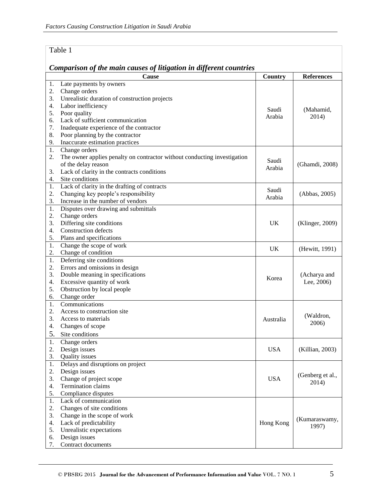#### Table 1 *Comparison of the main causes of litigation in different countries* **Cause Cause Country References** 1. Late payments by owners 2. Change orders 3. Unrealistic duration of construction projects 4. Labor inefficiency 5. Poor quality 6. Lack of sufficient communication 7. Inadequate experience of the contractor 8. Poor planning by the contractor 9. Inaccurate estimation practices Saudi Arabia (Mahamid, 2014) 1. Change orders 2. The owner applies penalty on contractor without conducting investigation of the delay reason 3. Lack of clarity in the contracts conditions 4. Site conditions Saudi Arabia (Ghamdi, 2008) 1. Lack of clarity in the drafting of contracts 2. Changing key people's responsibility 3. Increase in the number of vendors Saudi Arabia (Abbas, 2005) 1. Disputes over drawing and submittals 2. Change orders 3. Differing site conditions 4. Construction defects 5. Plans and specifications UK (Klinger, 2009) 1. Change the scope of work 2. Change of condition UK (Hewitt, 1991) 1. Deferring site conditions 2. Errors and omissions in design 3. Double meaning in specifications 4. Excessive quantity of work 5. Obstruction by local people 6. Change order Korea (Acharya and Lee, 2006) 1. Communications 2. Access to construction site 3. Access to materials 4. Changes of scope 5. Site conditions Australia (Waldron, 2006) 1. Change orders 2. Design issues 3. Quality issues USA (Killian, 2003) 1. Delays and disruptions on project 2. Design issues 3. Change of project scope 4. Termination claims 5. Compliance disputes USA (Genberg et al., 2014) 1. Lack of communication 2. Changes of site conditions 3. Change in the scope of work 4. Lack of predictability 5. Unrealistic expectations 6. Design issues 7. Contract documents Hong Kong (Kumaraswamy, 1997)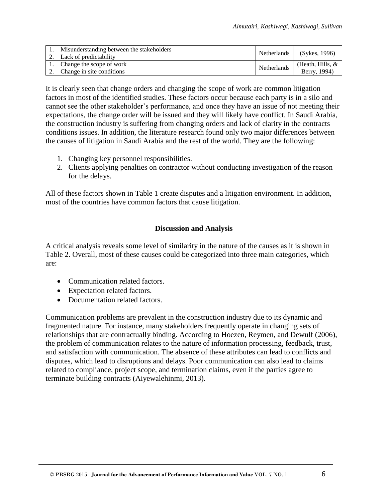| Misunderstanding between the stakeholders<br>2. Lack of predictability | Netherlands | (Sykes, 1996)                      |
|------------------------------------------------------------------------|-------------|------------------------------------|
| 1. Change the scope of work<br>2. Change in site conditions            | Netherlands | (Heath, Hills, $&$<br>Berry, 1994) |

It is clearly seen that change orders and changing the scope of work are common litigation factors in most of the identified studies. These factors occur because each party is in a silo and cannot see the other stakeholder's performance, and once they have an issue of not meeting their expectations, the change order will be issued and they will likely have conflict. In Saudi Arabia, the construction industry is suffering from changing orders and lack of clarity in the contracts conditions issues. In addition, the literature research found only two major differences between the causes of litigation in Saudi Arabia and the rest of the world. They are the following:

- 1. Changing key personnel responsibilities.
- 2. Clients applying penalties on contractor without conducting investigation of the reason for the delays.

All of these factors shown in Table 1 create disputes and a litigation environment. In addition, most of the countries have common factors that cause litigation.

#### **Discussion and Analysis**

A critical analysis reveals some level of similarity in the nature of the causes as it is shown in Table 2. Overall, most of these causes could be categorized into three main categories, which are:

- Communication related factors.
- Expectation related factors.
- Documentation related factors.

Communication problems are prevalent in the construction industry due to its dynamic and fragmented nature. For instance, many stakeholders frequently operate in changing sets of relationships that are contractually binding. According to Hoezen, Reymen, and Dewulf (2006), the problem of communication relates to the nature of information processing, feedback, trust, and satisfaction with communication. The absence of these attributes can lead to conflicts and disputes, which lead to disruptions and delays. Poor communication can also lead to claims related to compliance, project scope, and termination claims, even if the parties agree to terminate building contracts (Aiyewalehinmi, 2013).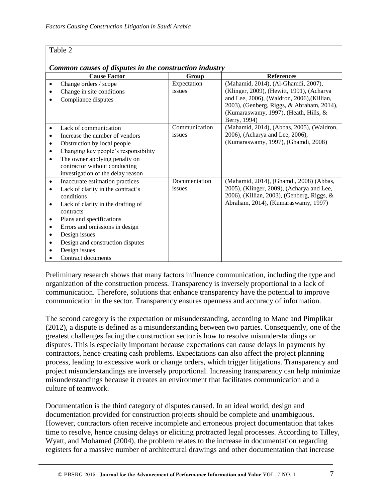#### Table 2

| Common causes of disputes in the construction industry |                                                  |                       |                                                                                  |  |
|--------------------------------------------------------|--------------------------------------------------|-----------------------|----------------------------------------------------------------------------------|--|
|                                                        | <b>Cause Factor</b>                              | Group                 | <b>References</b>                                                                |  |
| ٠                                                      | Change orders / scope                            | Expectation<br>issues | (Mahamid, 2014), (Al-Ghamdi, 2007),<br>(Klinger, 2009), (Hewitt, 1991), (Acharya |  |
|                                                        | Change in site conditions<br>Compliance disputes |                       | and Lee, 2006), (Waldron, 2006), (Killian,                                       |  |
|                                                        |                                                  |                       | 2003), (Genberg, Riggs, & Abraham, 2014),                                        |  |
|                                                        |                                                  |                       | (Kumaraswamy, 1997), (Heath, Hills, &                                            |  |
|                                                        |                                                  |                       | Berry, 1994)                                                                     |  |
|                                                        | Lack of communication                            | Communication         | (Mahamid, 2014), (Abbas, 2005), (Waldron,                                        |  |
|                                                        | Increase the number of vendors                   | issues                | 2006), (Acharya and Lee, 2006),                                                  |  |
| ٠                                                      | Obstruction by local people                      |                       | (Kumaraswamy, 1997), (Ghamdi, 2008)                                              |  |
| ٠                                                      | Changing key people's responsibility             |                       |                                                                                  |  |
| ٠                                                      | The owner applying penalty on                    |                       |                                                                                  |  |
|                                                        | contractor without conducting                    |                       |                                                                                  |  |
|                                                        | investigation of the delay reason                |                       |                                                                                  |  |
| ٠                                                      | Inaccurate estimation practices                  | Documentation         | (Mahamid, 2014), (Ghamdi, 2008) (Abbas,                                          |  |
|                                                        | Lack of clarity in the contract's                | issues                | 2005), (Klinger, 2009), (Acharya and Lee,                                        |  |
|                                                        | conditions                                       |                       | 2006), (Killian, 2003), (Genberg, Riggs, &                                       |  |
| ٠                                                      | Lack of clarity in the drafting of<br>contracts  |                       | Abraham, 2014), (Kumaraswamy, 1997)                                              |  |
| ٠                                                      | Plans and specifications                         |                       |                                                                                  |  |
| ٠                                                      | Errors and omissions in design                   |                       |                                                                                  |  |
| ٠                                                      | Design issues                                    |                       |                                                                                  |  |
| ٠                                                      | Design and construction disputes                 |                       |                                                                                  |  |
|                                                        | Design issues                                    |                       |                                                                                  |  |
|                                                        | Contract documents                               |                       |                                                                                  |  |

Preliminary research shows that many factors influence communication, including the type and organization of the construction process. Transparency is inversely proportional to a lack of communication. Therefore, solutions that enhance transparency have the potential to improve communication in the sector. Transparency ensures openness and accuracy of information.

The second category is the expectation or misunderstanding, according to Mane and Pimplikar (2012), a dispute is defined as a misunderstanding between two parties. Consequently, one of the greatest challenges facing the construction sector is how to resolve misunderstandings or disputes. This is especially important because expectations can cause delays in payments by contractors, hence creating cash problems. Expectations can also affect the project planning process, leading to excessive work or change orders, which trigger litigations. Transparency and project misunderstandings are inversely proportional. Increasing transparency can help minimize misunderstandings because it creates an environment that facilitates communication and a culture of teamwork.

Documentation is the third category of disputes caused. In an ideal world, design and documentation provided for construction projects should be complete and unambiguous. However, contractors often receive incomplete and erroneous project documentation that takes time to resolve, hence causing delays or eliciting protracted legal processes. According to Tilley, Wyatt, and Mohamed (2004), the problem relates to the increase in documentation regarding registers for a massive number of architectural drawings and other documentation that increase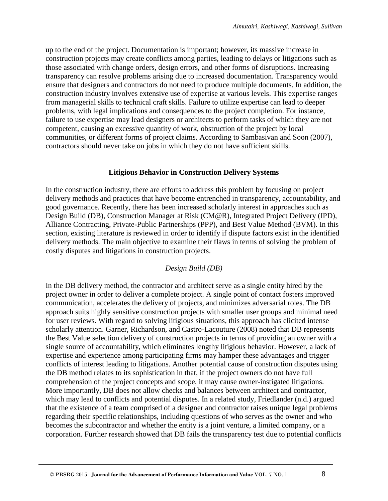up to the end of the project. Documentation is important; however, its massive increase in construction projects may create conflicts among parties, leading to delays or litigations such as those associated with change orders, design errors, and other forms of disruptions. Increasing transparency can resolve problems arising due to increased documentation. Transparency would ensure that designers and contractors do not need to produce multiple documents. In addition, the construction industry involves extensive use of expertise at various levels. This expertise ranges from managerial skills to technical craft skills. Failure to utilize expertise can lead to deeper problems, with legal implications and consequences to the project completion. For instance, failure to use expertise may lead designers or architects to perform tasks of which they are not competent, causing an excessive quantity of work, obstruction of the project by local communities, or different forms of project claims. According to Sambasivan and Soon (2007), contractors should never take on jobs in which they do not have sufficient skills.

# **Litigious Behavior in Construction Delivery Systems**

In the construction industry, there are efforts to address this problem by focusing on project delivery methods and practices that have become entrenched in transparency, accountability, and good governance. Recently, there has been increased scholarly interest in approaches such as Design Build (DB), Construction Manager at Risk (CM@R), Integrated Project Delivery (IPD), Alliance Contracting, Private-Public Partnerships (PPP), and Best Value Method (BVM). In this section, existing literature is reviewed in order to identify if dispute factors exist in the identified delivery methods. The main objective to examine their flaws in terms of solving the problem of costly disputes and litigations in construction projects.

# *Design Build (DB)*

In the DB delivery method, the contractor and architect serve as a single entity hired by the project owner in order to deliver a complete project. A single point of contact fosters improved communication, accelerates the delivery of projects, and minimizes adversarial roles. The DB approach suits highly sensitive construction projects with smaller user groups and minimal need for user reviews. With regard to solving litigious situations, this approach has elicited intense scholarly attention. Garner, Richardson, and Castro-Lacouture (2008) noted that DB represents the Best Value selection delivery of construction projects in terms of providing an owner with a single source of accountability, which eliminates lengthy litigious behavior. However, a lack of expertise and experience among participating firms may hamper these advantages and trigger conflicts of interest leading to litigations. Another potential cause of construction disputes using the DB method relates to its sophistication in that, if the project owners do not have full comprehension of the project concepts and scope, it may cause owner-instigated litigations. More importantly, DB does not allow checks and balances between architect and contractor, which may lead to conflicts and potential disputes. In a related study, Friedlander (n.d.) argued that the existence of a team comprised of a designer and contractor raises unique legal problems regarding their specific relationships, including questions of who serves as the owner and who becomes the subcontractor and whether the entity is a joint venture, a limited company, or a corporation. Further research showed that DB fails the transparency test due to potential conflicts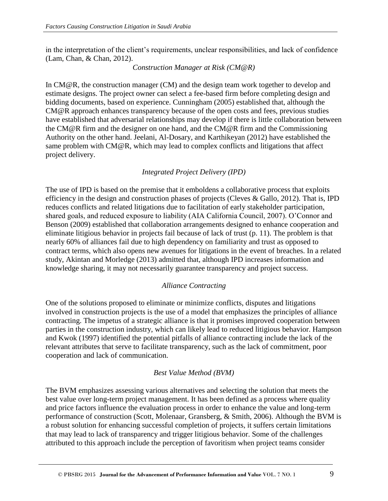in the interpretation of the client's requirements, unclear responsibilities, and lack of confidence (Lam, Chan, & Chan, 2012).

#### *Construction Manager at Risk (CM@R)*

In CM@R, the construction manager (CM) and the design team work together to develop and estimate designs. The project owner can select a fee-based firm before completing design and bidding documents, based on experience. Cunningham (2005) established that, although the CM@R approach enhances transparency because of the open costs and fees, previous studies have established that adversarial relationships may develop if there is little collaboration between the CM@R firm and the designer on one hand, and the CM@R firm and the Commissioning Authority on the other hand. Jeelani, Al-Dosary, and Karthikeyan (2012) have established the same problem with CM@R, which may lead to complex conflicts and litigations that affect project delivery.

# *Integrated Project Delivery (IPD)*

The use of IPD is based on the premise that it emboldens a collaborative process that exploits efficiency in the design and construction phases of projects (Cleves  $\&$  Gallo, 2012). That is, IPD reduces conflicts and related litigations due to facilitation of early stakeholder participation, shared goals, and reduced exposure to liability (AIA California Council, 2007). O'Connor and Benson (2009) established that collaboration arrangements designed to enhance cooperation and eliminate litigious behavior in projects fail because of lack of trust (p. 11). The problem is that nearly 60% of alliances fail due to high dependency on familiarity and trust as opposed to contract terms, which also opens new avenues for litigations in the event of breaches. In a related study, Akintan and Morledge (2013) admitted that, although IPD increases information and knowledge sharing, it may not necessarily guarantee transparency and project success.

#### *Alliance Contracting*

One of the solutions proposed to eliminate or minimize conflicts, disputes and litigations involved in construction projects is the use of a model that emphasizes the principles of alliance contracting. The impetus of a strategic alliance is that it promises improved cooperation between parties in the construction industry, which can likely lead to reduced litigious behavior. Hampson and Kwok (1997) identified the potential pitfalls of alliance contracting include the lack of the relevant attributes that serve to facilitate transparency, such as the lack of commitment, poor cooperation and lack of communication.

#### *Best Value Method (BVM)*

The BVM emphasizes assessing various alternatives and selecting the solution that meets the best value over long-term project management. It has been defined as a process where quality and price factors influence the evaluation process in order to enhance the value and long-term performance of construction (Scott, Molenaar, Gransberg, & Smith, 2006). Although the BVM is a robust solution for enhancing successful completion of projects, it suffers certain limitations that may lead to lack of transparency and trigger litigious behavior. Some of the challenges attributed to this approach include the perception of favoritism when project teams consider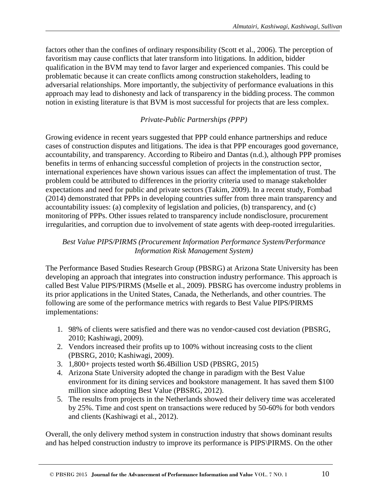factors other than the confines of ordinary responsibility (Scott et al., 2006). The perception of favoritism may cause conflicts that later transform into litigations. In addition, bidder qualification in the BVM may tend to favor larger and experienced companies. This could be problematic because it can create conflicts among construction stakeholders, leading to adversarial relationships. More importantly, the subjectivity of performance evaluations in this approach may lead to dishonesty and lack of transparency in the bidding process. The common notion in existing literature is that BVM is most successful for projects that are less complex.

### *Private-Public Partnerships (PPP)*

Growing evidence in recent years suggested that PPP could enhance partnerships and reduce cases of construction disputes and litigations. The idea is that PPP encourages good governance, accountability, and transparency. According to Ribeiro and Dantas (n.d.), although PPP promises benefits in terms of enhancing successful completion of projects in the construction sector, international experiences have shown various issues can affect the implementation of trust. The problem could be attributed to differences in the priority criteria used to manage stakeholder expectations and need for public and private sectors (Takim, 2009). In a recent study, Fombad (2014) demonstrated that PPPs in developing countries suffer from three main transparency and accountability issues: (a) complexity of legislation and policies, (b) transparency, and (c) monitoring of PPPs. Other issues related to transparency include nondisclosure, procurement irregularities, and corruption due to involvement of state agents with deep-rooted irregularities.

#### *Best Value PIPS/PIRMS (Procurement Information Performance System/Performance Information Risk Management System)*

The Performance Based Studies Research Group (PBSRG) at Arizona State University has been developing an approach that integrates into construction industry performance. This approach is called Best Value PIPS/PIRMS (Mselle et al., 2009). PBSRG has overcome industry problems in its prior applications in the United States, Canada, the Netherlands, and other countries. The following are some of the performance metrics with regards to Best Value PIPS/PIRMS implementations:

- 1. 98% of clients were satisfied and there was no vendor-caused cost deviation (PBSRG, 2010; Kashiwagi, 2009).
- 2. Vendors increased their profits up to 100% without increasing costs to the client (PBSRG, 2010; Kashiwagi, 2009).
- 3. 1,800+ projects tested worth \$6.4Billion USD (PBSRG, 2015)
- 4. Arizona State University adopted the change in paradigm with the Best Value environment for its dining services and bookstore management. It has saved them \$100 million since adopting Best Value (PBSRG, 2012).
- 5. The results from projects in the Netherlands showed their delivery time was accelerated by 25%. Time and cost spent on transactions were reduced by 50-60% for both vendors and clients (Kashiwagi et al., 2012).

Overall, the only delivery method system in construction industry that shows dominant results and has helped construction industry to improve its performance is PIPS\PIRMS. On the other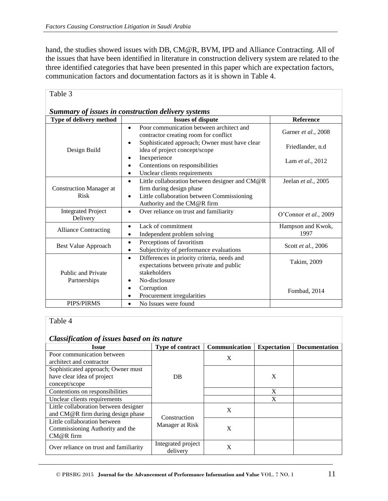hand, the studies showed issues with DB, CM@R, BVM, IPD and Alliance Contracting. All of the issues that have been identified in literature in construction delivery system are related to the three identified categories that have been presented in this paper which are expectation factors, communication factors and documentation factors as it is shown in Table 4.

| Table 3                                            |                                                                                                                                                                      |                           |  |  |  |
|----------------------------------------------------|----------------------------------------------------------------------------------------------------------------------------------------------------------------------|---------------------------|--|--|--|
| Summary of issues in construction delivery systems |                                                                                                                                                                      |                           |  |  |  |
| Type of delivery method                            | <b>Issues of dispute</b>                                                                                                                                             | Reference                 |  |  |  |
|                                                    | Poor communication between architect and<br>$\bullet$<br>contractor creating room for conflict                                                                       | Garner et al., 2008       |  |  |  |
| Design Build                                       | Sophisticated approach; Owner must have clear<br>idea of project concept/scope                                                                                       | Friedlander, n.d          |  |  |  |
|                                                    | Inexperience<br>Contentions on responsibilities<br>٠<br>Unclear clients requirements                                                                                 | Lam et al., 2012          |  |  |  |
| <b>Construction Manager at</b><br><b>Risk</b>      | Little collaboration between designer and CM@R<br>$\bullet$<br>firm during design phase<br>Little collaboration between Commissioning<br>Authority and the CM@R firm | Jeelan et al., 2005       |  |  |  |
| <b>Integrated Project</b><br>Delivery              | Over reliance on trust and familiarity                                                                                                                               | O'Connor et al., 2009     |  |  |  |
| <b>Alliance Contracting</b>                        | Lack of commitment<br>Independent problem solving                                                                                                                    | Hampson and Kwok,<br>1997 |  |  |  |
| <b>Best Value Approach</b>                         | Perceptions of favoritism<br>$\bullet$<br>Subjectivity of performance evaluations                                                                                    | Scott et al., 2006        |  |  |  |
| <b>Public and Private</b>                          | Differences in priority criteria, needs and<br>$\bullet$<br>expectations between private and public<br>stakeholders                                                  | Takim, 2009               |  |  |  |
| Partnerships                                       | No-disclosure<br>٠                                                                                                                                                   |                           |  |  |  |
|                                                    | Corruption<br>Procurement irregularities<br>٠                                                                                                                        | Fombad, 2014              |  |  |  |
| <b>PIPS/PIRMS</b>                                  | No Issues were found<br>$\bullet$                                                                                                                                    |                           |  |  |  |

# Table 4

#### *Classification of issues based on its nature*

| Chusseficument of issues buseled the motivation |                                 |               |                    |                      |  |
|-------------------------------------------------|---------------------------------|---------------|--------------------|----------------------|--|
| <b>Issue</b>                                    | <b>Type of contract</b>         | Communication | <b>Expectation</b> | <b>Documentation</b> |  |
| Poor communication between                      | <b>DB</b>                       | X             |                    |                      |  |
| architect and contractor                        |                                 |               |                    |                      |  |
| Sophisticated approach; Owner must              |                                 |               |                    |                      |  |
| have clear idea of project                      |                                 |               | X                  |                      |  |
| concept/scope                                   |                                 |               |                    |                      |  |
| Contentions on responsibilities                 |                                 |               | X                  |                      |  |
| Unclear clients requirements                    |                                 |               | X                  |                      |  |
| Little collaboration between designer           |                                 | X             |                    |                      |  |
| and CM@R firm during design phase               |                                 |               |                    |                      |  |
| Little collaboration between                    | Construction<br>Manager at Risk | X             |                    |                      |  |
| Commissioning Authority and the                 |                                 |               |                    |                      |  |
| $CM@R$ firm                                     |                                 |               |                    |                      |  |
|                                                 | Integrated project              | X             |                    |                      |  |
| Over reliance on trust and familiarity          | delivery                        |               |                    |                      |  |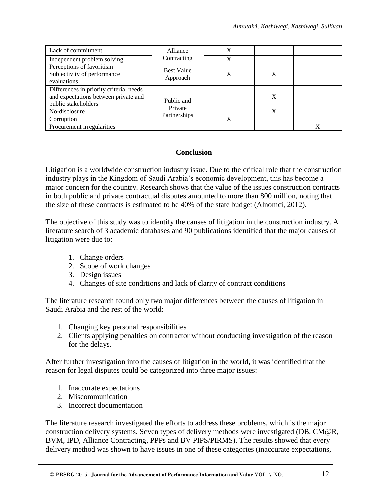| Lack of commitment                                                                                     | Alliance                              | X |   |   |
|--------------------------------------------------------------------------------------------------------|---------------------------------------|---|---|---|
| Independent problem solving                                                                            | Contracting                           | X |   |   |
| Perceptions of favoritism<br>Subjectivity of performance<br>evaluations                                | <b>Best Value</b><br>Approach         | Х | X |   |
| Differences in priority criteria, needs<br>and expectations between private and<br>public stakeholders | Public and<br>Private<br>Partnerships |   | X |   |
| No-disclosure                                                                                          |                                       |   | X |   |
| Corruption                                                                                             |                                       | X |   |   |
| Procurement irregularities                                                                             |                                       |   |   | X |

# **Conclusion**

Litigation is a worldwide construction industry issue. Due to the critical role that the construction industry plays in the Kingdom of Saudi Arabia's economic development, this has become a major concern for the country. Research shows that the value of the issues construction contracts in both public and private contractual disputes amounted to more than 800 million, noting that the size of these contracts is estimated to be 40% of the state budget (Alnomci, 2012).

The objective of this study was to identify the causes of litigation in the construction industry. A literature search of 3 academic databases and 90 publications identified that the major causes of litigation were due to:

- 1. Change orders
- 2. Scope of work changes
- 3. Design issues
- 4. Changes of site conditions and lack of clarity of contract conditions

The literature research found only two major differences between the causes of litigation in Saudi Arabia and the rest of the world:

- 1. Changing key personal responsibilities
- 2. Clients applying penalties on contractor without conducting investigation of the reason for the delays.

After further investigation into the causes of litigation in the world, it was identified that the reason for legal disputes could be categorized into three major issues:

- 1. Inaccurate expectations
- 2. Miscommunication
- 3. Incorrect documentation

The literature research investigated the efforts to address these problems, which is the major construction delivery systems. Seven types of delivery methods were investigated (DB, CM@R, BVM, IPD, Alliance Contracting, PPPs and BV PIPS/PIRMS). The results showed that every delivery method was shown to have issues in one of these categories (inaccurate expectations,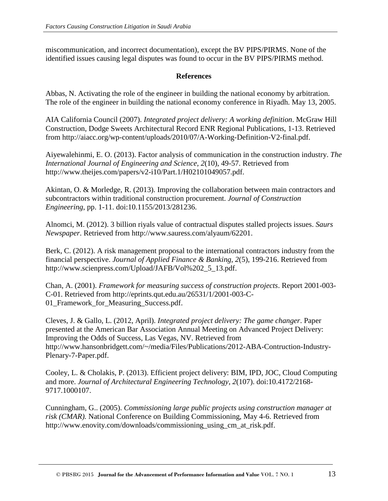miscommunication, and incorrect documentation), except the BV PIPS/PIRMS. None of the identified issues causing legal disputes was found to occur in the BV PIPS/PIRMS method.

#### **References**

Abbas, N. Activating the role of the engineer in building the national economy by arbitration. The role of the engineer in building the national economy conference in Riyadh. May 13, 2005.

AIA California Council (2007). *Integrated project delivery: A working definition*. McGraw Hill Construction, Dodge Sweets Architectural Record ENR Regional Publications, 1-13. Retrieved from [http://aiacc.org/wp-content/uploads/2010/07/A-Working-Definition-V2-final.pdf.](http://aiacc.org/wp-content/uploads/2010/07/A-Working-Definition-V2-final.pdf)

Aiyewalehinmi, E. O. (2013). Factor analysis of communication in the construction industry. *The International Journal of Engineering and Science, 2*(10), 49-57. Retrieved from [http://www.theijes.com/papers/v2-i10/Part.1/H02101049057.pdf.](http://www.theijes.com/papers/v2-i10/Part.1/H02101049057.pdf)

Akintan, O. & Morledge, R. (2013). Improving the collaboration between main contractors and subcontractors within traditional construction procurement. *Journal of Construction Engineering*, pp. 1-11. doi:10.1155/2013/281236.

Alnomci, M. (2012). 3 billion riyals value of contractual disputes stalled projects issues. *Saurs Newspaper*. Retrieved from [http://www.sauress.com/alyaum/62201.](http://www.sauress.com/alyaum/62201)

Berk, C. (2012). A risk management proposal to the international contractors industry from the financial perspective. *Journal of Applied Finance & Banking, 2*(5), 199-216. Retrieved from [http://www.scienpress.com/Upload/JAFB/Vol%202\\_5\\_13.pdf.](http://www.scienpress.com/Upload/JAFB/Vol%202_5_13.pdf)

Chan, A. (2001). *Framework for measuring success of construction projects*. Report 2001-003- C-01. Retrieved from [http://eprints.qut.edu.au/26531/1/2001-003-C-](http://eprints.qut.edu.au/26531/1/2001-003-C-01_Framework_for_Measuring_Success.pdf)01 Framework for Measuring Success.pdf.

Cleves, J. & Gallo, L. (2012, April). *Integrated project delivery: The game changer*. Paper presented at the American Bar Association Annual Meeting on Advanced Project Delivery: Improving the Odds of Success, Las Vegas, NV. Retrieved from [http://www.hansonbridgett.com/~/media/Files/Publications/2012-ABA-Contruction-Industry-](http://www.hansonbridgett.com/~/media/Files/Publications/2012-ABA-Contruction-Industry-Plenary-7-Paper.pdf)[Plenary-7-Paper.pdf.](http://www.hansonbridgett.com/~/media/Files/Publications/2012-ABA-Contruction-Industry-Plenary-7-Paper.pdf)

Cooley, L. & Cholakis, P. (2013). Efficient project delivery: BIM, IPD, JOC, Cloud Computing and more. *Journal of Architectural Engineering Technology*, *2*(107). doi:10.4172/2168- 9717.1000107.

Cunningham, G.. (2005). *Commissioning large public projects using construction manager at risk (CMAR).* National Conference on Building Commissioning, May 4-6. Retrieved from [http://www.enovity.com/downloads/commissioning\\_using\\_cm\\_at\\_risk.pdf.](http://www.enovity.com/downloads/commissioning_using_cm_at_risk.pdf)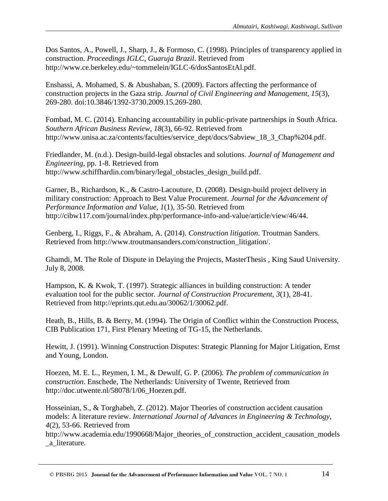Dos Santos, A., Powell, J., Sharp, J., & Formoso, C. (1998). Principles of transparency applied in construction. *Proceedings IGLC, Guaruja Brazil*. Retrieved from [http://www.ce.berkeley.edu/~tommelein/IGLC-6/dosSantosEtAl.pdf.](http://www.ce.berkeley.edu/~tommelein/IGLC-6/dosSantosEtAl.pdf)

Enshassi, A. Mohamed, S. & Abushaban, S. (2009). Factors affecting the performance of construction projects in the Gaza strip. *Journal of Civil Engineering and Management, 15*(3), 269-280. doi:10.3846/1392-3730.2009.15.269-280.

Fombad, M. C. (2014). Enhancing accountability in public-private partnerships in South Africa. *Southern African Business Review, 18*(3), 66-92. Retrieved from [http://www.unisa.ac.za/contents/faculties/service\\_dept/docs/Sabview\\_18\\_3\\_Chap%204.pdf.](http://www.unisa.ac.za/contents/faculties/service_dept/docs/Sabview_18_3_Chap%204.pdf)

Friedlander, M. (n.d.). Design-build-legal obstacles and solutions. *Journal of Management and Engineering,* pp. 1-8. Retrieved from [http://www.schiffhardin.com/binary/legal\\_obstacles\\_design\\_build.pdf.](http://www.schiffhardin.com/binary/legal_obstacles_design_build.pdf)

Garner, B., Richardson, K., & Castro-Lacouture, D. (2008). Design-build project delivery in military construction: Approach to Best Value Procurement. *Journal for the Advancement of Performance Information and Value, 1*(1), 35-50. Retrieved from [http://cibw117.com/journal/index.php/performance-info-and-value/article/view/46/44.](http://cibw117.com/journal/index.php/performance-info-and-value/article/view/46/44)

Genberg, I., Riggs, F., & Abraham, A. (2014). *Construction litigation*. Troutman Sanders. Retrieved from [http://www.troutmansanders.com/construction\\_litigation/.](http://www.troutmansanders.com/construction_litigation/)

Ghamdi, M. The Role of Dispute in Delaying the Projects, MasterThesis , King Saud University. July 8, 2008.

Hampson, K. & Kwok, T. (1997). Strategic alliances in building construction: A tender evaluation tool for the public sector*. Journal of Construction Procurement*, *3*(1), 28-41. Retrieved from [http://eprints.qut.edu.au/30062/1/30062.pdf.](http://eprints.qut.edu.au/30062/1/30062.pdf)

Heath, B., Hills, B. & Berry, M. (1994). The Origin of Conflict within the Construction Process, CIB Publication 171, First Plenary Meeting of TG-15, the Netherlands.

Hewitt, J. (1991). Winning Construction Disputes: Strategic Planning for Major Litigation, Ernst and Young, London.

Hoezen, M. E. L., Reymen, I. M., & Dewulf, G. P. (2006). *The problem of communication in construction*. Enschede, The Netherlands: University of Twente, Retrieved from [http://doc.utwente.nl/58078/1/06\\_Hoezen.pdf.](http://doc.utwente.nl/58078/1/06_Hoezen.pdf)

Hosseinian, S., & Torghabeh, Z. (2012). Major Theories of construction accident causation models: A literature review. *International Journal of Advances in Engineering & Technology, 4*(2), 53-66. Retrieved from

[http://www.academia.edu/1990668/Major\\_theories\\_of\\_construction\\_accident\\_causation\\_models](http://www.academia.edu/1990668/Major_theories_of_construction_accident_causation_models_a_literature) [\\_a\\_literature.](http://www.academia.edu/1990668/Major_theories_of_construction_accident_causation_models_a_literature)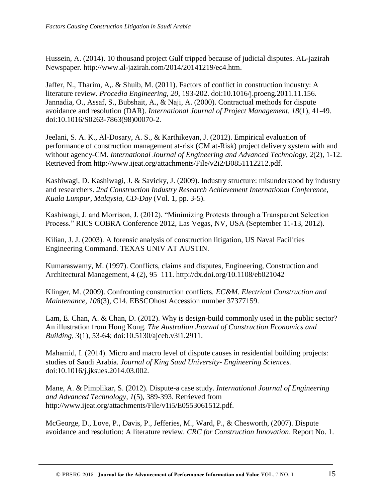Hussein, A. (2014). 10 thousand project Gulf tripped because of judicial disputes. AL-jazirah Newspaper. [http://www.al-jazirah.com/2014/20141219/ec4.htm.](http://www.al-jazirah.com/2014/20141219/ec4.htm)

Jaffer, N., Tharim, A,. & Shuib, M. (2011). Factors of conflict in construction industry: A literature review. *Procedia Engineering, 20*, 193-202. doi:10.1016/j.proeng.2011.11.156. Jannadia, O., Assaf, S., Bubshait, A., & Naji, A. (2000). Contractual methods for dispute avoidance and resolution (DAR). *International Journal of Project Management, 18*(1), 41-49. doi:10.1016/S0263-7863(98)00070-2.

Jeelani, S. A. K., Al-Dosary, A. S., & Karthikeyan, J. (2012). Empirical evaluation of performance of construction management at-risk (CM at-Risk) project delivery system with and without agency-CM. *International Journal of Engineering and Advanced Technology, 2*(2), 1-12. Retrieved from [http://www.ijeat.org/attachments/File/v2i2/B0851112212.pdf.](http://www.ijeat.org/attachments/File/v2i2/B0851112212.pdf)

Kashiwagi, D. Kashiwagi, J. & Savicky, J. (2009). Industry structure: misunderstood by industry and researchers. *2nd Construction Industry Research Achievement International Conference, Kuala Lumpur, Malaysia, CD-Day* (Vol. 1, pp. 3-5).

Kashiwagi, J. and Morrison, J. (2012). "Minimizing Protests through a Transparent Selection Process." RICS COBRA Conference 2012, Las Vegas, NV, USA (September 11-13, 2012).

Kilian, J. J. (2003). A forensic analysis of construction litigation, US Naval Facilities Engineering Command. TEXAS UNIV AT AUSTIN.

Kumaraswamy, M. (1997). Conflicts, claims and disputes, Engineering, Construction and Architectural Management, 4 (2), 95–111.<http://dx.doi.org/10.1108/eb021042>

Klinger, M. (2009). Confronting construction conflicts*. EC&M. Electrical Construction and Maintenance, 108*(3), C14. EBSCOhost Accession number 37377159.

Lam, E. Chan, A. & Chan, D. (2012). Why is design-build commonly used in the public sector? An illustration from Hong Kong. *The Australian Journal of Construction Economics and Building, 3*(1), 53-64; doi:10.5130/ajceb.v3i1.2911.

Mahamid, I. (2014). Micro and macro level of dispute causes in residential building projects: studies of Saudi Arabia. *Journal of King Saud University- Engineering Sciences.*  doi:10.1016/j.jksues.2014.03.002.

Mane, A. & Pimplikar, S. (2012). Dispute-a case study. *International Journal of Engineering and Advanced Technology, 1*(5), 389-393. Retrieved from [http://www.ijeat.org/attachments/File/v1i5/E0553061512.pdf.](http://www.ijeat.org/attachments/File/v1i5/E0553061512.pdf)

McGeorge, D., Love, P., Davis, P., Jefferies, M., Ward, P., & Chesworth, (2007). Dispute avoidance and resolution: A literature review. *CRC for Construction Innovation*. Report No. 1.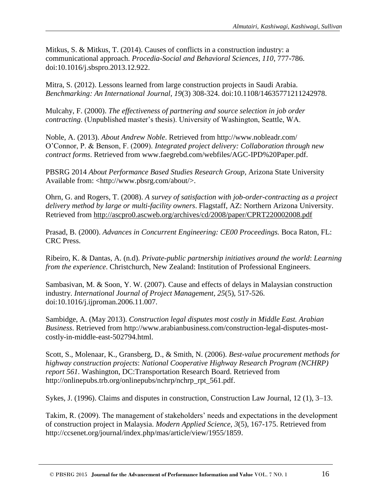Mitkus, S. & Mitkus, T. (2014). Causes of conflicts in a construction industry: a communicational approach. *Procedia-Social and Behavioral Sciences, 110*, 777-786. doi:10.1016/j.sbspro.2013.12.922.

Mitra, S. (2012). Lessons learned from large construction projects in Saudi Arabia. *Benchmarking: An International Journal, 19*(3) 308-324. doi:10.1108/14635771211242978.

Mulcahy, F. (2000). *The effectiveness of partnering and source selection in job order contracting*. (Unpublished master's thesis). University of Washington, Seattle, WA.

Noble, A. (2013). *About Andrew Noble*. Retrieved from http://www.nobleadr.com/ O'Connor, P. & Benson, F. (2009). *Integrated project delivery: Collaboration through new contract forms*. Retrieved from [www.faegrebd.com/webfiles/AGC-IPD%20Paper.pdf.](http://www.faegrebd.com/webfiles/AGC-IPD%20Paper.pdf)

PBSRG 2014 *About Performance Based Studies Research Group*, Arizona State University Available from: <http://www.pbsrg.com/about/>.

Ohrn, G. and Rogers, T. (2008). *A survey of satisfaction with job-order-contracting as a project delivery method by large or multi-facility owners*. Flagstaff, AZ: Northern Arizona University. Retrieved from<http://ascpro0.ascweb.org/archives/cd/2008/paper/CPRT220002008.pdf>

Prasad, B. (2000). *Advances in Concurrent Engineering: CE00 Proceedings.* Boca Raton, FL: CRC Press.

Ribeiro, K. & Dantas, A. (n.d). *Private-public partnership initiatives around the world*: *Learning from the experience*. Christchurch, New Zealand: Institution of Professional Engineers.

Sambasivan, M. & Soon, Y. W. (2007). Cause and effects of delays in Malaysian construction industry. *International Journal of Project Management, 25*(5), 517-526. doi:10.1016/j.ijproman.2006.11.007.

Sambidge, A. (May 2013). *Construction legal disputes most costly in Middle East. Arabian Business*. Retrieved from [http://www.arabianbusiness.com/construction-legal-disputes-most](http://www.arabianbusiness.com/construction-legal-disputes-most-costly-in-middle-east-502794.html)[costly-in-middle-east-502794.html.](http://www.arabianbusiness.com/construction-legal-disputes-most-costly-in-middle-east-502794.html)

Scott, S., Molenaar, K., Gransberg, D., & Smith, N. (2006). *Best-value procurement methods for highway construction projects*: *National Cooperative Highway Research Program (NCHRP) report 561*. Washington, DC:Transportation Research Board. Retrieved from [http://onlinepubs.trb.org/onlinepubs/nchrp/nchrp\\_rpt\\_561.pdf.](http://onlinepubs.trb.org/onlinepubs/nchrp/nchrp_rpt_561.pdf)

Sykes, J. (1996). Claims and disputes in construction, Construction Law Journal, 12 (1), 3–13.

Takim, R. (2009). The management of stakeholders' needs and expectations in the development of construction project in Malaysia. *Modern Applied Science, 3*(5), 167-175. Retrieved from [http://ccsenet.org/journal/index.php/mas/article/view/1955/1859.](http://ccsenet.org/journal/index.php/mas/article/view/1955/1859)